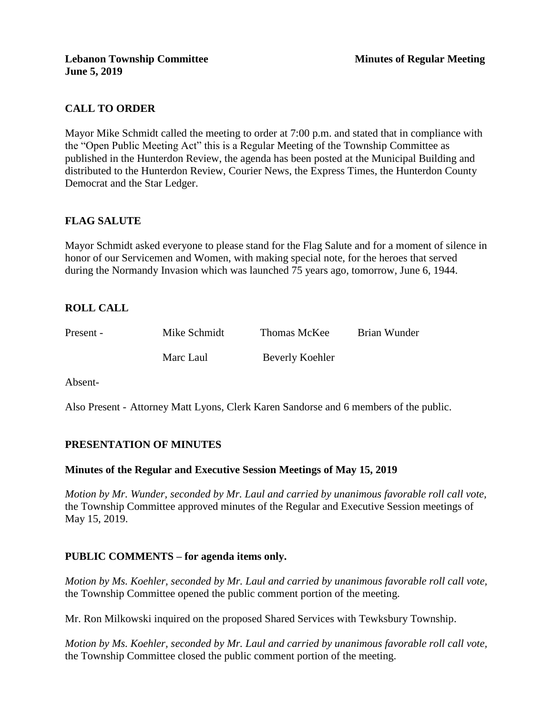# **CALL TO ORDER**

Mayor Mike Schmidt called the meeting to order at 7:00 p.m. and stated that in compliance with the "Open Public Meeting Act" this is a Regular Meeting of the Township Committee as published in the Hunterdon Review, the agenda has been posted at the Municipal Building and distributed to the Hunterdon Review, Courier News, the Express Times, the Hunterdon County Democrat and the Star Ledger.

## **FLAG SALUTE**

Mayor Schmidt asked everyone to please stand for the Flag Salute and for a moment of silence in honor of our Servicemen and Women, with making special note, for the heroes that served during the Normandy Invasion which was launched 75 years ago, tomorrow, June 6, 1944.

## **ROLL CALL**

| Present - | Mike Schmidt | Thomas McKee    | Brian Wunder |
|-----------|--------------|-----------------|--------------|
|           | Marc Laul    | Beverly Koehler |              |

Absent-

Also Present - Attorney Matt Lyons, Clerk Karen Sandorse and 6 members of the public.

## **PRESENTATION OF MINUTES**

#### **Minutes of the Regular and Executive Session Meetings of May 15, 2019**

*Motion by Mr. Wunder, seconded by Mr. Laul and carried by unanimous favorable roll call vote,* the Township Committee approved minutes of the Regular and Executive Session meetings of May 15, 2019.

## **PUBLIC COMMENTS – for agenda items only.**

*Motion by Ms. Koehler, seconded by Mr. Laul and carried by unanimous favorable roll call vote,* the Township Committee opened the public comment portion of the meeting.

Mr. Ron Milkowski inquired on the proposed Shared Services with Tewksbury Township.

*Motion by Ms. Koehler, seconded by Mr. Laul and carried by unanimous favorable roll call vote,* the Township Committee closed the public comment portion of the meeting.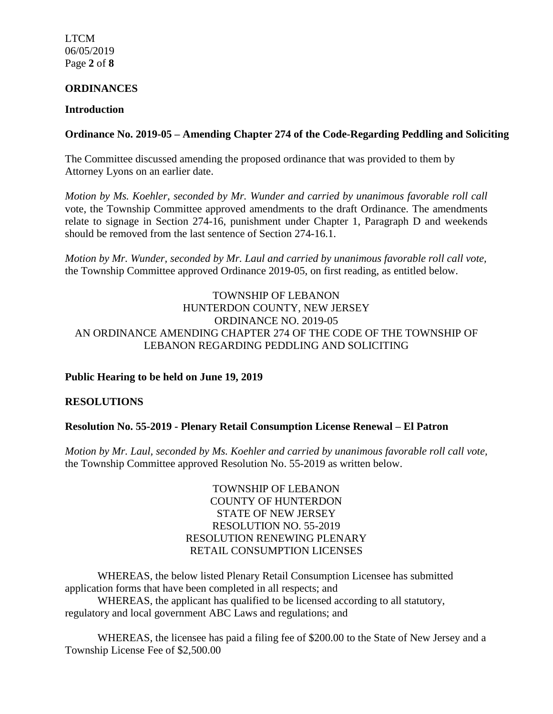LTCM 06/05/2019 Page **2** of **8**

#### **ORDINANCES**

#### **Introduction**

### **Ordinance No. 2019-05 – Amending Chapter 274 of the Code-Regarding Peddling and Soliciting**

The Committee discussed amending the proposed ordinance that was provided to them by Attorney Lyons on an earlier date.

*Motion by Ms. Koehler, seconded by Mr. Wunder and carried by unanimous favorable roll call*  vote, the Township Committee approved amendments to the draft Ordinance. The amendments relate to signage in Section 274-16, punishment under Chapter 1, Paragraph D and weekends should be removed from the last sentence of Section 274-16.1.

*Motion by Mr. Wunder, seconded by Mr. Laul and carried by unanimous favorable roll call vote,* the Township Committee approved Ordinance 2019-05, on first reading, as entitled below.

### TOWNSHIP OF LEBANON HUNTERDON COUNTY, NEW JERSEY ORDINANCE NO. 2019-05 AN ORDINANCE AMENDING CHAPTER 274 OF THE CODE OF THE TOWNSHIP OF LEBANON REGARDING PEDDLING AND SOLICITING

## **Public Hearing to be held on June 19, 2019**

#### **RESOLUTIONS**

#### **Resolution No. 55-2019 - Plenary Retail Consumption License Renewal – El Patron**

*Motion by Mr. Laul, seconded by Ms. Koehler and carried by unanimous favorable roll call vote,* the Township Committee approved Resolution No. 55-2019 as written below.

> TOWNSHIP OF LEBANON COUNTY OF HUNTERDON STATE OF NEW JERSEY RESOLUTION NO. 55-2019 RESOLUTION RENEWING PLENARY RETAIL CONSUMPTION LICENSES

WHEREAS, the below listed Plenary Retail Consumption Licensee has submitted application forms that have been completed in all respects; and

WHEREAS, the applicant has qualified to be licensed according to all statutory, regulatory and local government ABC Laws and regulations; and

WHEREAS, the licensee has paid a filing fee of \$200.00 to the State of New Jersey and a Township License Fee of \$2,500.00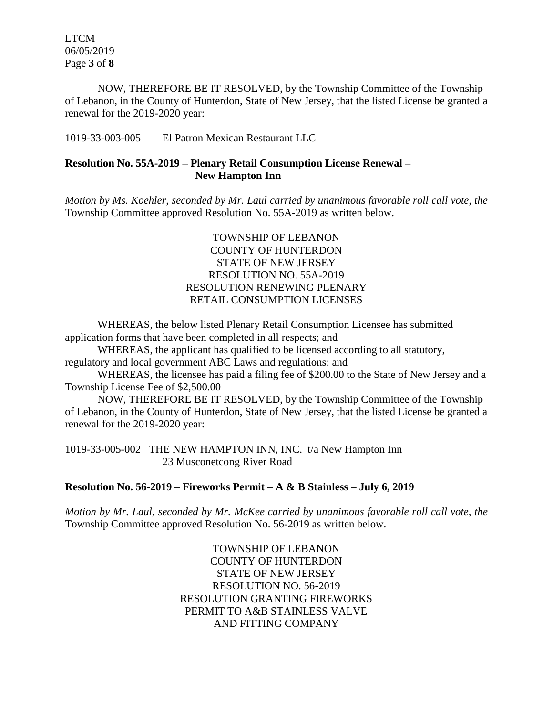LTCM 06/05/2019 Page **3** of **8**

NOW, THEREFORE BE IT RESOLVED, by the Township Committee of the Township of Lebanon, in the County of Hunterdon, State of New Jersey, that the listed License be granted a renewal for the 2019-2020 year:

1019-33-003-005 El Patron Mexican Restaurant LLC

### **Resolution No. 55A-2019 – Plenary Retail Consumption License Renewal – New Hampton Inn**

*Motion by Ms. Koehler, seconded by Mr. Laul carried by unanimous favorable roll call vote, the* Township Committee approved Resolution No. 55A-2019 as written below.

### TOWNSHIP OF LEBANON COUNTY OF HUNTERDON STATE OF NEW JERSEY RESOLUTION NO. 55A-2019 RESOLUTION RENEWING PLENARY RETAIL CONSUMPTION LICENSES

WHEREAS, the below listed Plenary Retail Consumption Licensee has submitted application forms that have been completed in all respects; and

WHEREAS, the applicant has qualified to be licensed according to all statutory, regulatory and local government ABC Laws and regulations; and

WHEREAS, the licensee has paid a filing fee of \$200.00 to the State of New Jersey and a Township License Fee of \$2,500.00

NOW, THEREFORE BE IT RESOLVED, by the Township Committee of the Township of Lebanon, in the County of Hunterdon, State of New Jersey, that the listed License be granted a renewal for the 2019-2020 year:

1019-33-005-002 THE NEW HAMPTON INN, INC. t/a New Hampton Inn 23 Musconetcong River Road

## **Resolution No. 56-2019 – Fireworks Permit – A & B Stainless – July 6, 2019**

*Motion by Mr. Laul, seconded by Mr. McKee carried by unanimous favorable roll call vote, the* Township Committee approved Resolution No. 56-2019 as written below.

> TOWNSHIP OF LEBANON COUNTY OF HUNTERDON STATE OF NEW JERSEY RESOLUTION NO. 56-2019 RESOLUTION GRANTING FIREWORKS PERMIT TO A&B STAINLESS VALVE AND FITTING COMPANY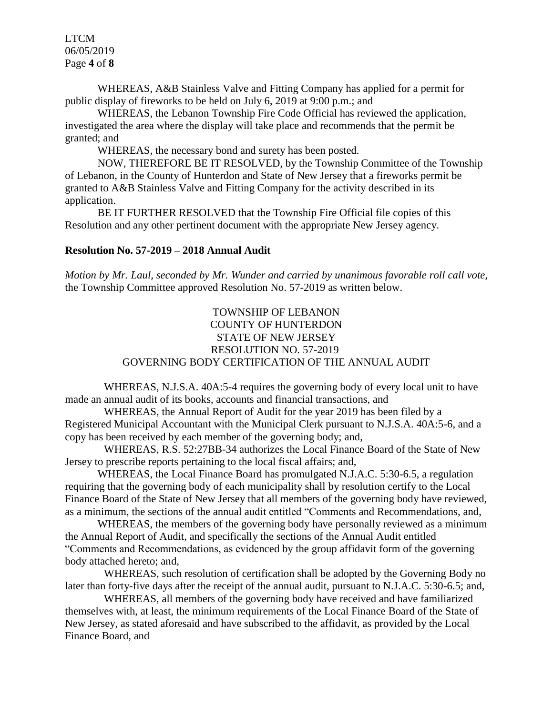LTCM 06/05/2019 Page **4** of **8**

WHEREAS, A&B Stainless Valve and Fitting Company has applied for a permit for public display of fireworks to be held on July 6, 2019 at 9:00 p.m.; and

WHEREAS, the Lebanon Township Fire Code Official has reviewed the application, investigated the area where the display will take place and recommends that the permit be granted; and

WHEREAS, the necessary bond and surety has been posted.

NOW, THEREFORE BE IT RESOLVED, by the Township Committee of the Township of Lebanon, in the County of Hunterdon and State of New Jersey that a fireworks permit be granted to A&B Stainless Valve and Fitting Company for the activity described in its application.

BE IT FURTHER RESOLVED that the Township Fire Official file copies of this Resolution and any other pertinent document with the appropriate New Jersey agency.

#### **Resolution No. 57-2019 – 2018 Annual Audit**

*Motion by Mr. Laul, seconded by Mr. Wunder and carried by unanimous favorable roll call vote,* the Township Committee approved Resolution No. 57-2019 as written below.

## TOWNSHIP OF LEBANON COUNTY OF HUNTERDON STATE OF NEW JERSEY RESOLUTION NO. 57-2019 GOVERNING BODY CERTIFICATION OF THE ANNUAL AUDIT

WHEREAS, N.J.S.A. 40A:5-4 requires the governing body of every local unit to have made an annual audit of its books, accounts and financial transactions, and

WHEREAS, the Annual Report of Audit for the year 2019 has been filed by a Registered Municipal Accountant with the Municipal Clerk pursuant to N.J.S.A. 40A:5-6, and a copy has been received by each member of the governing body; and,

WHEREAS, R.S. 52:27BB-34 authorizes the Local Finance Board of the State of New Jersey to prescribe reports pertaining to the local fiscal affairs; and,

WHEREAS, the Local Finance Board has promulgated N.J.A.C. 5:30-6.5, a regulation requiring that the governing body of each municipality shall by resolution certify to the Local Finance Board of the State of New Jersey that all members of the governing body have reviewed, as a minimum, the sections of the annual audit entitled "Comments and Recommendations, and,

WHEREAS, the members of the governing body have personally reviewed as a minimum the Annual Report of Audit, and specifically the sections of the Annual Audit entitled "Comments and Recommendations, as evidenced by the group affidavit form of the governing body attached hereto; and,

WHEREAS, such resolution of certification shall be adopted by the Governing Body no later than forty-five days after the receipt of the annual audit, pursuant to N.J.A.C. 5:30-6.5; and,

WHEREAS, all members of the governing body have received and have familiarized themselves with, at least, the minimum requirements of the Local Finance Board of the State of New Jersey, as stated aforesaid and have subscribed to the affidavit, as provided by the Local Finance Board, and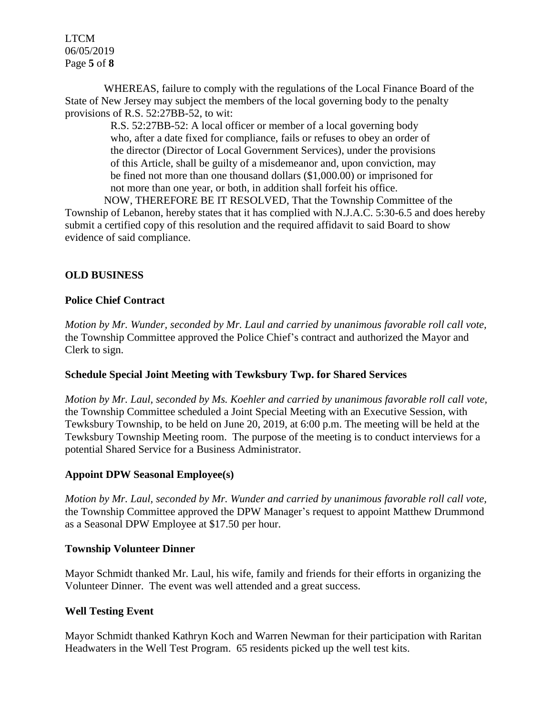LTCM 06/05/2019 Page **5** of **8**

WHEREAS, failure to comply with the regulations of the Local Finance Board of the State of New Jersey may subject the members of the local governing body to the penalty provisions of R.S. 52:27BB-52, to wit:

R.S. 52:27BB-52: A local officer or member of a local governing body who, after a date fixed for compliance, fails or refuses to obey an order of the director (Director of Local Government Services), under the provisions of this Article, shall be guilty of a misdemeanor and, upon conviction, may be fined not more than one thousand dollars (\$1,000.00) or imprisoned for not more than one year, or both, in addition shall forfeit his office.

NOW, THEREFORE BE IT RESOLVED, That the Township Committee of the Township of Lebanon, hereby states that it has complied with N.J.A.C. 5:30-6.5 and does hereby submit a certified copy of this resolution and the required affidavit to said Board to show evidence of said compliance.

## **OLD BUSINESS**

#### **Police Chief Contract**

*Motion by Mr. Wunder, seconded by Mr. Laul and carried by unanimous favorable roll call vote,* the Township Committee approved the Police Chief's contract and authorized the Mayor and Clerk to sign.

#### **Schedule Special Joint Meeting with Tewksbury Twp. for Shared Services**

*Motion by Mr. Laul, seconded by Ms. Koehler and carried by unanimous favorable roll call vote,* the Township Committee scheduled a Joint Special Meeting with an Executive Session, with Tewksbury Township, to be held on June 20, 2019, at 6:00 p.m. The meeting will be held at the Tewksbury Township Meeting room. The purpose of the meeting is to conduct interviews for a potential Shared Service for a Business Administrator.

#### **Appoint DPW Seasonal Employee(s)**

*Motion by Mr. Laul, seconded by Mr. Wunder and carried by unanimous favorable roll call vote,* the Township Committee approved the DPW Manager's request to appoint Matthew Drummond as a Seasonal DPW Employee at \$17.50 per hour.

#### **Township Volunteer Dinner**

Mayor Schmidt thanked Mr. Laul, his wife, family and friends for their efforts in organizing the Volunteer Dinner. The event was well attended and a great success.

#### **Well Testing Event**

Mayor Schmidt thanked Kathryn Koch and Warren Newman for their participation with Raritan Headwaters in the Well Test Program. 65 residents picked up the well test kits.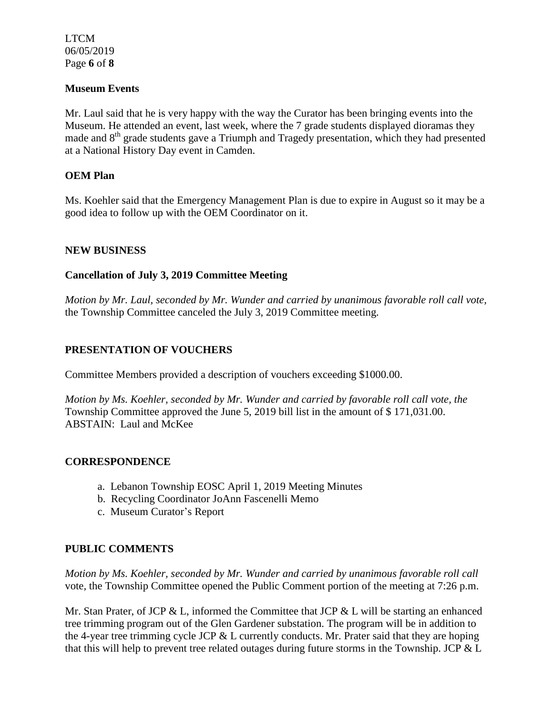LTCM 06/05/2019 Page **6** of **8**

### **Museum Events**

Mr. Laul said that he is very happy with the way the Curator has been bringing events into the Museum. He attended an event, last week, where the 7 grade students displayed dioramas they made and 8<sup>th</sup> grade students gave a Triumph and Tragedy presentation, which they had presented at a National History Day event in Camden.

### **OEM Plan**

Ms. Koehler said that the Emergency Management Plan is due to expire in August so it may be a good idea to follow up with the OEM Coordinator on it.

### **NEW BUSINESS**

### **Cancellation of July 3, 2019 Committee Meeting**

*Motion by Mr. Laul, seconded by Mr. Wunder and carried by unanimous favorable roll call vote,* the Township Committee canceled the July 3, 2019 Committee meeting.

## **PRESENTATION OF VOUCHERS**

Committee Members provided a description of vouchers exceeding \$1000.00.

*Motion by Ms. Koehler, seconded by Mr. Wunder and carried by favorable roll call vote, the* Township Committee approved the June 5, 2019 bill list in the amount of \$ 171,031.00. ABSTAIN: Laul and McKee

#### **CORRESPONDENCE**

- a. Lebanon Township EOSC April 1, 2019 Meeting Minutes
- b. Recycling Coordinator JoAnn Fascenelli Memo
- c. Museum Curator's Report

## **PUBLIC COMMENTS**

*Motion by Ms. Koehler, seconded by Mr. Wunder and carried by unanimous favorable roll call*  vote*,* the Township Committee opened the Public Comment portion of the meeting at 7:26 p.m.

Mr. Stan Prater, of JCP & L, informed the Committee that JCP & L will be starting an enhanced tree trimming program out of the Glen Gardener substation. The program will be in addition to the 4-year tree trimming cycle JCP & L currently conducts. Mr. Prater said that they are hoping that this will help to prevent tree related outages during future storms in the Township. JCP & L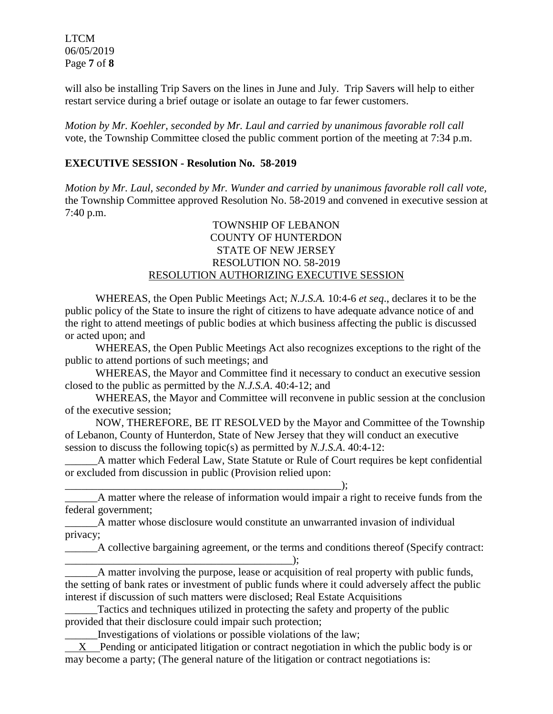LTCM 06/05/2019 Page **7** of **8**

will also be installing Trip Savers on the lines in June and July. Trip Savers will help to either restart service during a brief outage or isolate an outage to far fewer customers.

*Motion by Mr. Koehler, seconded by Mr. Laul and carried by unanimous favorable roll call*  vote, the Township Committee closed the public comment portion of the meeting at 7:34 p.m.

### **EXECUTIVE SESSION - Resolution No. 58-2019**

*Motion by Mr. Laul, seconded by Mr. Wunder and carried by unanimous favorable roll call vote,* the Township Committee approved Resolution No. 58-2019 and convened in executive session at 7:40 p.m.

### TOWNSHIP OF LEBANON COUNTY OF HUNTERDON STATE OF NEW JERSEY RESOLUTION NO. 58-2019 RESOLUTION AUTHORIZING EXECUTIVE SESSION

WHEREAS, the Open Public Meetings Act; *N.J.S.A.* 10:4-6 *et seq*., declares it to be the public policy of the State to insure the right of citizens to have adequate advance notice of and the right to attend meetings of public bodies at which business affecting the public is discussed or acted upon; and

WHEREAS, the Open Public Meetings Act also recognizes exceptions to the right of the public to attend portions of such meetings; and

WHEREAS, the Mayor and Committee find it necessary to conduct an executive session closed to the public as permitted by the *N.J.S.A*. 40:4-12; and

WHEREAS, the Mayor and Committee will reconvene in public session at the conclusion of the executive session;

NOW, THEREFORE, BE IT RESOLVED by the Mayor and Committee of the Township of Lebanon, County of Hunterdon, State of New Jersey that they will conduct an executive session to discuss the following topic(s) as permitted by *N.J.S.A*. 40:4-12:

A matter which Federal Law, State Statute or Rule of Court requires be kept confidential or excluded from discussion in public (Provision relied upon:

\_\_\_\_\_\_\_\_\_\_\_\_\_\_\_\_\_\_\_\_\_\_\_\_\_\_\_\_\_\_\_\_\_\_\_\_\_\_\_\_\_\_\_\_\_\_\_\_\_\_\_);

\_\_\_\_\_\_A matter where the release of information would impair a right to receive funds from the federal government;

\_\_\_\_\_\_A matter whose disclosure would constitute an unwarranted invasion of individual privacy;

\_\_\_\_\_\_A collective bargaining agreement, or the terms and conditions thereof (Specify contract: \_\_\_\_\_\_\_\_\_\_\_\_\_\_\_\_\_\_\_\_\_\_\_\_\_\_\_\_\_\_\_\_\_\_\_\_\_\_\_\_\_\_);

\_\_\_\_\_\_A matter involving the purpose, lease or acquisition of real property with public funds, the setting of bank rates or investment of public funds where it could adversely affect the public interest if discussion of such matters were disclosed; Real Estate Acquisitions

\_\_\_\_\_\_Tactics and techniques utilized in protecting the safety and property of the public provided that their disclosure could impair such protection;

\_\_\_\_\_\_Investigations of violations or possible violations of the law;

 X Pending or anticipated litigation or contract negotiation in which the public body is or may become a party; (The general nature of the litigation or contract negotiations is: